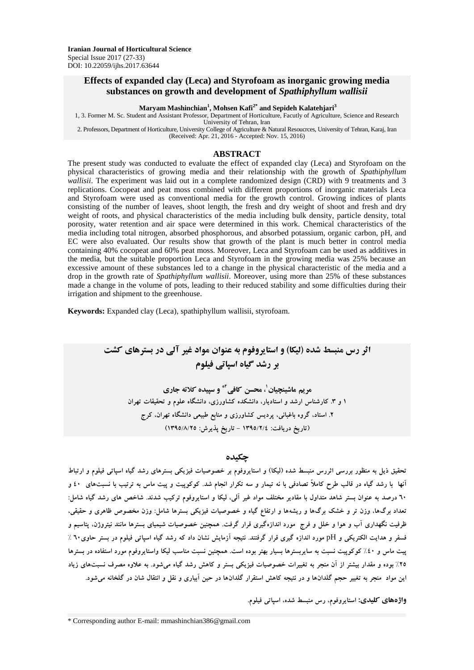## **Effects of expanded clay (Leca) and Styrofoam as inorganic growing media substances on growth and development of** *Spathiphyllum wallisii*

**Maryam Mashinchian<sup>1</sup> , Mohsen Kafi2\* and Sepideh Kalatehjari<sup>3</sup>**

1, 3. Former M. Sc. Student and Assistant Professor, Department of Horticulture, Facutly of Agriculture, Science and Research University of Tehran, Iran 2. Professors, Department of Horticulture, University College of Agriculture & Natural Resoucrces, University of Tehran, Karaj, Iran (Received: Apr. 21, 2016 - Accepted: Nov. 15, 2016)

#### **ABSTRACT**

The present study was conducted to evaluate the effect of expanded clay (Leca) and Styrofoam on the physical characteristics of growing media and their relationship with the growth of *Spathiphyllum wallisii*. The experiment was laid out in a complete randomized design (CRD) with 9 treatments and 3 replications. Cocopeat and peat moss combined with different proportions of inorganic materials Leca and Styrofoam were used as conventional media for the growth control. Growing indices of plants consisting of the number of leaves, shoot length, the fresh and dry weight of shoot and fresh and dry weight of roots, and physical characteristics of the media including bulk density, particle density, total porosity, water retention and air space were determined in this work. Chemical characteristics of the media including total nitrogen, absorbed phosphorous, and absorbed potassium, organic carbon, pH, and EC were also evaluated. Our results show that growth of the plant is much better in control media containing 40% cocopeat and 60% peat moss. Moreover, Leca and Styrofoam can be used as additives in the media, but the suitable proportion Leca and Styrofoam in the growing media was 25% because an excessive amount of these substances led to a change in the physical characteristic of the media and a drop in the growth rate of *Spathiphyllum wallisii*. Moreover, using more than 25% of these substances made a change in the volume of pots, leading to their reduced stability and some difficulties during their irrigation and shipment to the greenhouse.

**Keywords:** Expanded clay (Leca), spathiphyllum wallisii, styrofoam.

# **اثر رس منبسط شده )لیکا( و استایروفوم به عنوان مواد غیر آلی در بسترهای کشت بر رشد گیاه اسپاتی فیلوم**

**مریم ماشینچیان ، محسن کافی <sup>1</sup> \*2 و سپیده کالته جاری 1 و .3 کارشناس ارشد و استادیار، دانشکده کشاورزی، دانشگاه علوم و تحقیقات تهران .2 استاد، گروه باغبانی، پردیس کشاورزی و منابع طبیعی دانشگاه تهران، کرج )تاریخ دریافت: 1395/2/4 - تاریخ پذیرش: 1395/8/25(**

#### **چکیده**

**تحقیق ذیل به منظور بررسی اثررس منبسط شده )لیکا( و استایروفوم بر خصوصیات فیزیکی بسترهای رشد گیاه اسپاتی فیلوم و ارتباط آنها با رشد گیاه در قالب طرح کامالً تصادفی با نه تیمار و سه تکرار انجام شد. کوکوپیت و پیت ماس به ترتیب با نسبتهای 40 و 60 درصد به عنوان بستر شاهد متداول با مقادیر مختلف مواد غیر آلی، لیکا و استایروفوم ترکیب شدند. شاخص های رشد گیاه شامل: تعداد برگها، وزن تر و خشک برگها و ریشهها و ارتفاع گیاه و خصوصیات فیزیکی بسترها شامل: وزن مخصوص ظاهری و حقیقی، ظرفیت نگهداری آب و هوا و خلل و فرج مورد اندازهگیری قرار گرفت. همچنین خصوصیات شیمیای بسترها مانند نیتروژن، پتاسیم و فسفر و هدایت الکتریکی و** pH **مورد اندازه گیری قرار گرفتند. نتیجه آزمایش نشان داد که رشد گیاه اسپاتی فیلوم در بستر حاوی60 % پیت ماس و %40 کوکوپیت نسبت به سایربسترها بسیار بهتر بوده است. همچنین نسبت مناسب لیکا واستایروفوم مورد استفاده در بسترها %25 بوده و مقدار بیشتر از آن منجر به تغییرات خصوصیات فیزیکی بستر و کاهش رشد گیاه میشود. به عالوه مصرف نسبتهای زیاد این مواد منجر به تغییر حجم گلدانها و در نتیجه کاهش استقرار گلدانها در حین آبیاری و نقل و انتقال شان در گلخانه میشود.** 

**واژههای کلیدی: استایروفوم، رس منبسط شده، اسپاتی فیلوم.**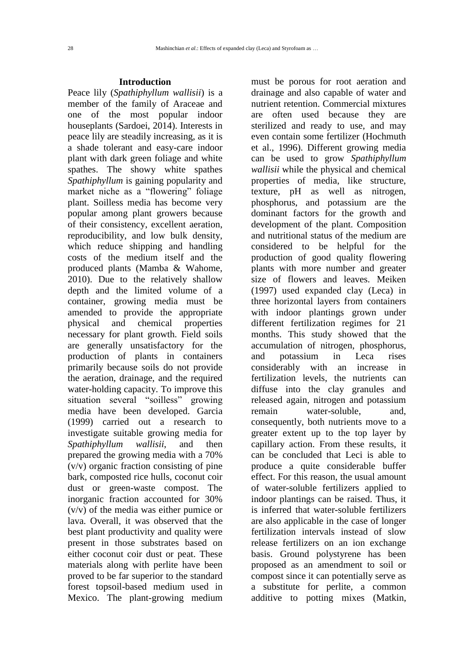# **Introduction**

Peace lily (*Spathiphyllum wallisii*) is a member of the family of Araceae and one of the most popular indoor houseplants (Sardoei, 2014). Interests in peace lily are steadily increasing, as it is a shade tolerant and easy-care indoor plant with dark green foliage and white spathes. The showy white spathes *Spathiphyllum* is gaining popularity and market niche as a "flowering" foliage plant. Soilless media has become very popular among plant growers because of their consistency, excellent aeration, reproducibility, and low bulk density, which reduce shipping and handling costs of the medium itself and the produced plants (Mamba & Wahome, 2010). Due to the relatively shallow depth and the limited volume of a container, growing media must be amended to provide the appropriate physical and chemical properties necessary for plant growth. Field soils are generally unsatisfactory for the production of plants in containers primarily because soils do not provide the aeration, drainage, and the required water-holding capacity. To improve this situation several "soilless" growing media have been developed. Garcia (1999) carried out a research to investigate suitable growing media for *Spathiphyllum wallisii*, and then prepared the growing media with a 70% (v/v) organic fraction consisting of pine bark, composted rice hulls, coconut coir dust or green-waste compost. The inorganic fraction accounted for 30% (v/v) of the media was either pumice or lava. Overall, it was observed that the best plant productivity and quality were present in those substrates based on either coconut coir dust or peat. These materials along with perlite have been proved to be far superior to the standard forest topsoil-based medium used in Mexico. The plant-growing medium

must be porous for root aeration and drainage and also capable of water and nutrient retention. Commercial mixtures are often used because they are sterilized and ready to use, and may even contain some fertilizer (Hochmuth et al., 1996). Different growing media can be used to grow *Spathiphyllum wallisii* while the physical and chemical properties of media, like structure, texture, pH as well as nitrogen, phosphorus, and potassium are the dominant factors for the growth and development of the plant. Composition and nutritional status of the medium are considered to be helpful for the production of good quality flowering plants with more number and greater size of flowers and leaves. Meiken (1997) used expanded clay (Leca) in three horizontal layers from containers with indoor plantings grown under different fertilization regimes for 21 months. This study showed that the accumulation of nitrogen, phosphorus, and potassium in Leca rises considerably with an increase in fertilization levels, the nutrients can diffuse into the clay granules and released again, nitrogen and potassium remain water-soluble, and, consequently, both nutrients move to a greater extent up to the top layer by capillary action. From these results, it can be concluded that Leci is able to produce a quite considerable buffer effect. For this reason, the usual amount of water-soluble fertilizers applied to indoor plantings can be raised. Thus, it is inferred that water-soluble fertilizers are also applicable in the case of longer fertilization intervals instead of slow release fertilizers on an ion exchange basis. Ground polystyrene has been proposed as an amendment to soil or compost since it can potentially serve as a substitute for perlite, a common additive to potting mixes (Matkin,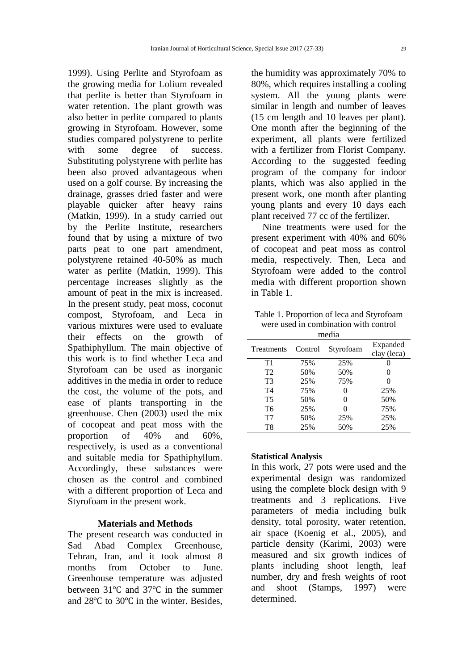1999). Using Perlite and Styrofoam as the growing media for Lolium revealed that perlite is better than Styrofoam in water retention. The plant growth was also better in perlite compared to plants growing in Styrofoam. However, some studies compared polystyrene to perlite with some degree of success. Substituting polystyrene with perlite has been also proved advantageous when used on a golf course. By increasing the drainage, grasses dried faster and were playable quicker after heavy rains (Matkin, 1999). In a study carried out by the Perlite Institute, researchers found that by using a mixture of two parts peat to one part amendment, polystyrene retained 40-50% as much water as perlite (Matkin, 1999). This percentage increases slightly as the amount of peat in the mix is increased. In the present study, peat moss, coconut compost, Styrofoam, and Leca in various mixtures were used to evaluate their effects on the growth of Spathiphyllum. The main objective of this work is to find whether Leca and Styrofoam can be used as inorganic additives in the media in order to reduce the cost, the volume of the pots, and ease of plants transporting in the greenhouse. Chen (2003) used the mix of cocopeat and peat moss with the proportion of 40% and 60%, respectively, is used as a conventional and suitable media for Spathiphyllum. Accordingly, these substances were chosen as the control and combined with a different proportion of Leca and Styrofoam in the present work.

# **Materials and Methods**

The present research was conducted in Sad Abad Complex Greenhouse, Tehran, Iran, and it took almost 8 months from October to June. Greenhouse temperature was adjusted between 31℃ and 37℃ in the summer and 28℃ to 30℃ in the winter. Besides,

the humidity was approximately 70% to 80%, which requires installing a cooling system. All the young plants were similar in length and number of leaves (15 cm length and 10 leaves per plant). One month after the beginning of the experiment, all plants were fertilized with a fertilizer from Florist Company. According to the suggested feeding program of the company for indoor plants, which was also applied in the present work, one month after planting young plants and every 10 days each plant received 77 cc of the fertilizer.

Nine treatments were used for the present experiment with 40% and 60% of cocopeat and peat moss as control media, respectively. Then, Leca and Styrofoam were added to the control media with different proportion shown in Table 1.

Table 1. Proportion of leca and Styrofoam were used in combination with control media

| mcuia          |         |           |                         |  |  |
|----------------|---------|-----------|-------------------------|--|--|
| Treatments     | Control | Styrofoam | Expanded<br>clay (leca) |  |  |
| T1             | 75%     | 25%       |                         |  |  |
| T <sub>2</sub> | 50%     | 50%       | $\theta$                |  |  |
| T <sub>3</sub> | 25%     | 75%       | $\mathbf{\Omega}$       |  |  |
| T <sub>4</sub> | 75%     | 0         | 25%                     |  |  |
| <b>T5</b>      | 50%     | 0         | 50%                     |  |  |
| T <sub>6</sub> | 25%     | 0         | 75%                     |  |  |
| T7             | 50%     | 25%       | 25%                     |  |  |
| T8             | 25%     | 50%       | 25%                     |  |  |

### **Statistical Analysis**

In this work, 27 pots were used and the experimental design was randomized using the complete block design with 9 treatments and 3 replications. Five parameters of media including bulk density, total porosity, water retention, air space (Koenig et al., 2005), and particle density (Karimi, 2003) were measured and six growth indices of plants including shoot length, leaf number, dry and fresh weights of root and shoot (Stamps, 1997) were determined.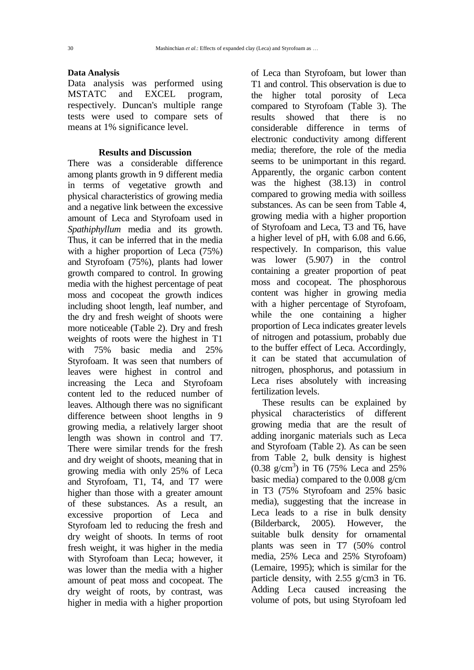#### **Data Analysis**

Data analysis was performed using MSTATC and EXCEL program, respectively. Duncan's multiple range tests were used to compare sets of means at 1% significance level.

# **Results and Discussion**

There was a considerable difference among plants growth in 9 different media in terms of vegetative growth and physical characteristics of growing media and a negative link between the excessive amount of Leca and Styrofoam used in *Spathiphyllum* media and its growth. Thus, it can be inferred that in the media with a higher proportion of Leca (75%) and Styrofoam (75%), plants had lower growth compared to control. In growing media with the highest percentage of peat moss and cocopeat the growth indices including shoot length, leaf number, and the dry and fresh weight of shoots were more noticeable (Table 2). Dry and fresh weights of roots were the highest in T1 with 75% basic media and 25% Styrofoam. It was seen that numbers of leaves were highest in control and increasing the Leca and Styrofoam content led to the reduced number of leaves. Although there was no significant difference between shoot lengths in 9 growing media, a relatively larger shoot length was shown in control and T7. There were similar trends for the fresh and dry weight of shoots, meaning that in growing media with only 25% of Leca and Styrofoam, T1, T4, and T7 were higher than those with a greater amount of these substances. As a result, an excessive proportion of Leca and Styrofoam led to reducing the fresh and dry weight of shoots. In terms of root fresh weight, it was higher in the media with Styrofoam than Leca; however, it was lower than the media with a higher amount of peat moss and cocopeat. The dry weight of roots, by contrast, was higher in media with a higher proportion

of Leca than Styrofoam, but lower than T1 and control. This observation is due to the higher total porosity of Leca compared to Styrofoam (Table 3). The results showed that there is no considerable difference in terms of electronic conductivity among different media; therefore, the role of the media seems to be unimportant in this regard. Apparently, the organic carbon content was the highest (38.13) in control compared to growing media with soilless substances. As can be seen from Table 4, growing media with a higher proportion of Styrofoam and Leca, T3 and T6, have a higher level of pH, with 6.08 and 6.66, respectively. In comparison, this value was lower (5.907) in the control containing a greater proportion of peat moss and cocopeat. The phosphorous content was higher in growing media with a higher percentage of Styrofoam, while the one containing a higher proportion of Leca indicates greater levels of nitrogen and potassium, probably due to the buffer effect of Leca. Accordingly, it can be stated that accumulation of nitrogen, phosphorus, and potassium in Leca rises absolutely with increasing fertilization levels.

These results can be explained by physical characteristics of different growing media that are the result of adding inorganic materials such as Leca and Styrofoam (Table 2). As can be seen from Table 2, bulk density is highest (0.38 g/cm<sup>3</sup>) in T6 (75% Leca and 25% basic media) compared to the 0.008 g/cm in T3 (75% Styrofoam and 25% basic media), suggesting that the increase in Leca leads to a rise in bulk density (Bilderbarck, 2005). However, the suitable bulk density for ornamental plants was seen in T7 (50% control media, 25% Leca and 25% Styrofoam) (Lemaire, 1995); which is similar for the particle density, with 2.55 g/cm3 in T6. Adding Leca caused increasing the volume of pots, but using Styrofoam led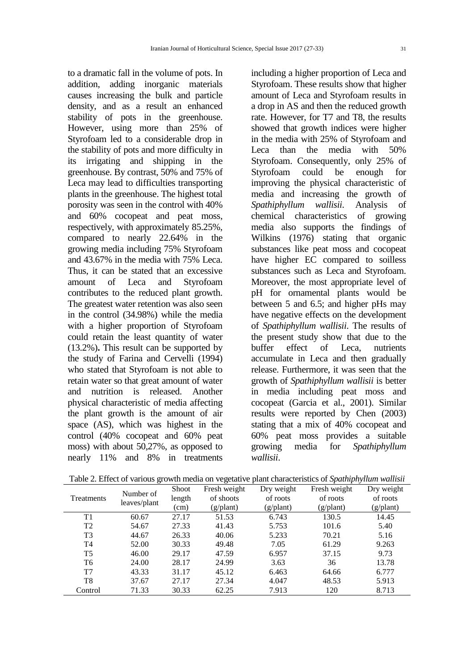to a dramatic fall in the volume of pots. In addition, adding inorganic materials causes increasing the bulk and particle density, and as a result an enhanced stability of pots in the greenhouse. However, using more than 25% of Styrofoam led to a considerable drop in the stability of pots and more difficulty in its irrigating and shipping in the greenhouse. By contrast, 50% and 75% of Leca may lead to difficulties transporting plants in the greenhouse. The highest total porosity was seen in the control with 40% and 60% cocopeat and peat moss, respectively, with approximately 85.25%, compared to nearly 22.64% in the growing media including 75% Styrofoam and 43.67% in the media with 75% Leca. Thus, it can be stated that an excessive amount of Leca and Styrofoam contributes to the reduced plant growth. The greatest water retention was also seen in the control (34.98%) while the media with a higher proportion of Styrofoam could retain the least quantity of water (13.2%)**.** This result can be supported by the study of Farina and Cervelli (1994) who stated that Styrofoam is not able to retain water so that great amount of water and nutrition is released. Another physical characteristic of media affecting the plant growth is the amount of air space (AS), which was highest in the control (40% cocopeat and 60% peat moss) with about 50,27%, as opposed to nearly 11% and 8% in treatments

including a higher proportion of Leca and Styrofoam. These results show that higher amount of Leca and Styrofoam results in a drop in AS and then the reduced growth rate. However, for T7 and T8, the results showed that growth indices were higher in the media with 25% of Styrofoam and Leca than the media with 50% Styrofoam. Consequently, only 25% of Styrofoam could be enough for improving the physical characteristic of media and increasing the growth of *Spathiphyllum wallisii*. Analysis of chemical characteristics of growing media also supports the findings of Wilkins (1976) stating that organic substances like peat moss and cocopeat have higher EC compared to soilless substances such as Leca and Styrofoam. Moreover, the most appropriate level of pH for ornamental plants would be between 5 and 6.5; and higher pHs may have negative effects on the development of *Spathiphyllum wallisii*. The results of the present study show that due to the buffer effect of Leca, nutrients accumulate in Leca and then gradually release. Furthermore, it was seen that the growth of *Spathiphyllum wallisii* is better in media including peat moss and cocopeat (Garcia et al., 2001). Similar results were reported by Chen (2003) stating that a mix of 40% cocopeat and 60% peat moss provides a suitable growing media for *Spathiphyllum wallisii*.

| <b>Treatments</b> | Number of    | <b>Shoot</b> | Fresh weight       | Dry weight         | Fresh weight       | Dry weight         |
|-------------------|--------------|--------------|--------------------|--------------------|--------------------|--------------------|
|                   |              | length       | of shoots          | of roots           | of roots           | of roots           |
|                   | leaves/plant | (cm)         | $(g/\text{plant})$ | $(g/\text{plant})$ | $(g/\text{plant})$ | $(g/\text{plant})$ |
| T1                | 60.67        | 27.17        | 51.53              | 6.743              | 130.5              | 14.45              |
| T <sub>2</sub>    | 54.67        | 27.33        | 41.43              | 5.753              | 101.6              | 5.40               |
| T <sub>3</sub>    | 44.67        | 26.33        | 40.06              | 5.233              | 70.21              | 5.16               |
| T <sub>4</sub>    | 52.00        | 30.33        | 49.48              | 7.05               | 61.29              | 9.263              |
| T <sub>5</sub>    | 46.00        | 29.17        | 47.59              | 6.957              | 37.15              | 9.73               |
| T <sub>6</sub>    | 24.00        | 28.17        | 24.99              | 3.63               | 36                 | 13.78              |
| T7                | 43.33        | 31.17        | 45.12              | 6.463              | 64.66              | 6.777              |
| T <sub>8</sub>    | 37.67        | 27.17        | 27.34              | 4.047              | 48.53              | 5.913              |
| Control           | 71.33        | 30.33        | 62.25              | 7.913              | 120                | 8.713              |

Table 2. Effect of various growth media on vegetative plant characteristics of *Spathiphyllum wallisii*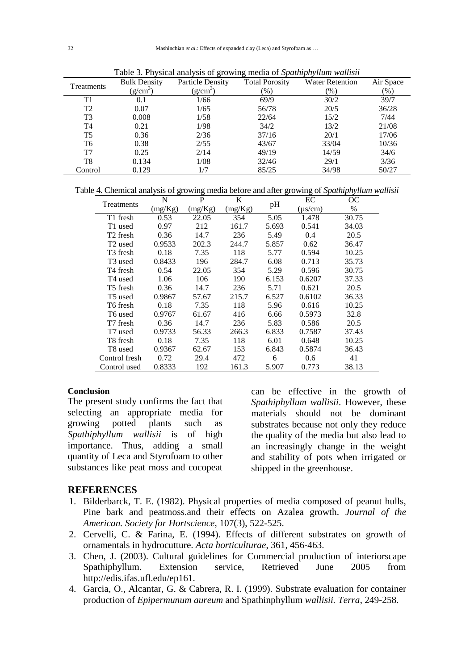| Treatments     | <b>Bulk Density</b> | <b>Particle Density</b> | <b>Total Porosity</b> | <b>Water Retention</b> | Air Space     |
|----------------|---------------------|-------------------------|-----------------------|------------------------|---------------|
|                | $(g/cm^3)$          | $(g/cm^3)$              | $(\%)$                | $(\%)$                 | $\frac{9}{6}$ |
| T1             | 0.1                 | 1/66                    | 69/9                  | 30/2                   | 39/7          |
| T <sub>2</sub> | 0.07                | 1/65                    | 56/78                 | 20/5                   | 36/28         |
| T3             | 0.008               | 1/58                    | 22/64                 | 15/2                   | 7/44          |
| T4             | 0.21                | 1/98                    | 34/2                  | 13/2                   | 21/08         |
| T <sub>5</sub> | 0.36                | 2/36                    | 37/16                 | 20/1                   | 17/06         |
| T6             | 0.38                | 2/55                    | 43/67                 | 33/04                  | 10/36         |
| T7             | 0.25                | 2/14                    | 49/19                 | 14/59                  | 34/6          |
| T8             | 0.134               | 1/08                    | 32/46                 | 29/1                   | 3/36          |
| Control        | 0.129               | 1/7                     | 85/25                 | 34/98                  | 50/27         |

Table 3. Physical analysis of growing media of *Spathiphyllum wallisii*

Table 4. Chemical analysis of growing media before and after growing of *Spathiphyllum wallisii*

| Treatments           | N       | P       | K       |       | EС           | OС    |
|----------------------|---------|---------|---------|-------|--------------|-------|
|                      | (mg/Kg) | (mg/Kg) | (mg/Kg) | pH    | $(\mu s/cm)$ | $\%$  |
| T1 fresh             | 0.53    | 22.05   | 354     | 5.05  | 1.478        | 30.75 |
| T1 used              | 0.97    | 212     | 161.7   | 5.693 | 0.541        | 34.03 |
| T <sub>2</sub> fresh | 0.36    | 14.7    | 236     | 5.49  | 0.4          | 20.5  |
| T <sub>2</sub> used  | 0.9533  | 202.3   | 244.7   | 5.857 | 0.62         | 36.47 |
| T <sub>3</sub> fresh | 0.18    | 7.35    | 118     | 5.77  | 0.594        | 10.25 |
| T <sub>3</sub> used  | 0.8433  | 196     | 284.7   | 6.08  | 0.713        | 35.73 |
| T4 fresh             | 0.54    | 22.05   | 354     | 5.29  | 0.596        | 30.75 |
| T4 used              | 1.06    | 106     | 190     | 6.153 | 0.6207       | 37.33 |
| T5 fresh             | 0.36    | 14.7    | 236     | 5.71  | 0.621        | 20.5  |
| T <sub>5</sub> used  | 0.9867  | 57.67   | 215.7   | 6.527 | 0.6102       | 36.33 |
| T6 fresh             | 0.18    | 7.35    | 118     | 5.96  | 0.616        | 10.25 |
| T6 used              | 0.9767  | 61.67   | 416     | 6.66  | 0.5973       | 32.8  |
| T7 fresh             | 0.36    | 14.7    | 236     | 5.83  | 0.586        | 20.5  |
| T7 used              | 0.9733  | 56.33   | 266.3   | 6.833 | 0.7587       | 37.43 |
| T8 fresh             | 0.18    | 7.35    | 118     | 6.01  | 0.648        | 10.25 |
| T8 used              | 0.9367  | 62.67   | 153     | 6.843 | 0.5874       | 36.43 |
| Control fresh        | 0.72    | 29.4    | 472     | 6     | 0.6          | 41    |
| Control used         | 0.8333  | 192     | 161.3   | 5.907 | 0.773        | 38.13 |

# **Conclusion**

The present study confirms the fact that selecting an appropriate media for growing potted plants such as *Spathiphyllum wallisii* is of high importance. Thus, adding a small quantity of Leca and Styrofoam to other substances like peat moss and cocopeat can be effective in the growth of *Spathiphyllum wallisii*. However, these materials should not be dominant substrates because not only they reduce the quality of the media but also lead to an increasingly change in the weight and stability of pots when irrigated or shipped in the greenhouse.

# **REFERENCES**

- 1. Bilderbarck, T. E. (1982). Physical properties of media composed of peanut hulls, Pine bark and peatmoss.and their effects on Azalea growth. *Journal of the American. Society for Hortscience*, 107(3), 522-525.
- 2. Cervelli, C. & Farina, E. (1994). Effects of different substrates on growth of ornamentals in hydrocutture. *Acta horticulturae*, 361, 456-463.
- 3. Chen, J. (2003). Cultural guidelines for Commercial production of interiorscape Spathiphyllum. Extension service, Retrieved June 2005 from http://edis.ifas.ufl.edu/ep161.
- 4. Garcia, O., Alcantar, G. & Cabrera, R. I. (1999). Substrate evaluation for container production of *Epipermunum aureum* and Spathinphyllum *wallisii. Terra*, 249-258.